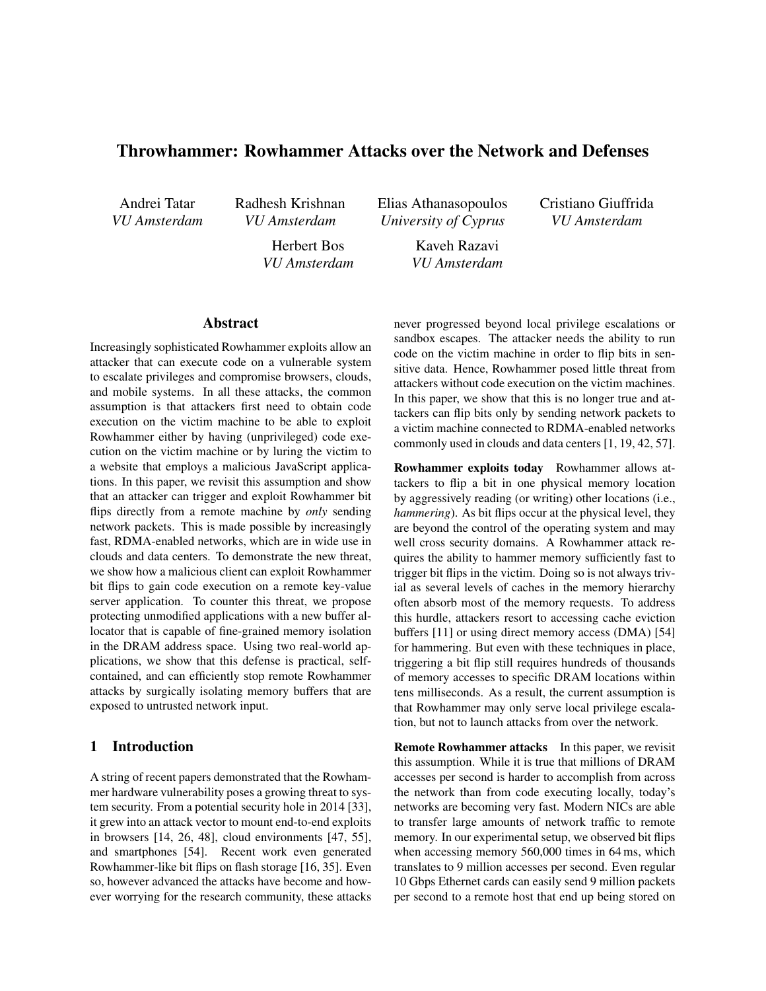# Throwhammer: Rowhammer Attacks over the Network and Defenses

Andrei Tatar *VU Amsterdam* Radhesh Krishnan *VU Amsterdam*

> Herbert Bos *VU Amsterdam*

Elias Athanasopoulos *University of Cyprus*

> Kaveh Razavi *VU Amsterdam*

Cristiano Giuffrida *VU Amsterdam*

# Abstract

Increasingly sophisticated Rowhammer exploits allow an attacker that can execute code on a vulnerable system to escalate privileges and compromise browsers, clouds, and mobile systems. In all these attacks, the common assumption is that attackers first need to obtain code execution on the victim machine to be able to exploit Rowhammer either by having (unprivileged) code execution on the victim machine or by luring the victim to a website that employs a malicious JavaScript applications. In this paper, we revisit this assumption and show that an attacker can trigger and exploit Rowhammer bit flips directly from a remote machine by *only* sending network packets. This is made possible by increasingly fast, RDMA-enabled networks, which are in wide use in clouds and data centers. To demonstrate the new threat, we show how a malicious client can exploit Rowhammer bit flips to gain code execution on a remote key-value server application. To counter this threat, we propose protecting unmodified applications with a new buffer allocator that is capable of fine-grained memory isolation in the DRAM address space. Using two real-world applications, we show that this defense is practical, selfcontained, and can efficiently stop remote Rowhammer attacks by surgically isolating memory buffers that are exposed to untrusted network input.

#### 1 Introduction

A string of recent papers demonstrated that the Rowhammer hardware vulnerability poses a growing threat to system security. From a potential security hole in 2014 [33], it grew into an attack vector to mount end-to-end exploits in browsers [14, 26, 48], cloud environments [47, 55], and smartphones [54]. Recent work even generated Rowhammer-like bit flips on flash storage [16, 35]. Even so, however advanced the attacks have become and however worrying for the research community, these attacks never progressed beyond local privilege escalations or sandbox escapes. The attacker needs the ability to run code on the victim machine in order to flip bits in sensitive data. Hence, Rowhammer posed little threat from attackers without code execution on the victim machines. In this paper, we show that this is no longer true and attackers can flip bits only by sending network packets to a victim machine connected to RDMA-enabled networks commonly used in clouds and data centers [1, 19, 42, 57].

Rowhammer exploits today Rowhammer allows attackers to flip a bit in one physical memory location by aggressively reading (or writing) other locations (i.e., *hammering*). As bit flips occur at the physical level, they are beyond the control of the operating system and may well cross security domains. A Rowhammer attack requires the ability to hammer memory sufficiently fast to trigger bit flips in the victim. Doing so is not always trivial as several levels of caches in the memory hierarchy often absorb most of the memory requests. To address this hurdle, attackers resort to accessing cache eviction buffers [11] or using direct memory access (DMA) [54] for hammering. But even with these techniques in place, triggering a bit flip still requires hundreds of thousands of memory accesses to specific DRAM locations within tens milliseconds. As a result, the current assumption is that Rowhammer may only serve local privilege escalation, but not to launch attacks from over the network.

Remote Rowhammer attacks In this paper, we revisit this assumption. While it is true that millions of DRAM accesses per second is harder to accomplish from across the network than from code executing locally, today's networks are becoming very fast. Modern NICs are able to transfer large amounts of network traffic to remote memory. In our experimental setup, we observed bit flips when accessing memory 560,000 times in 64 ms, which translates to 9 million accesses per second. Even regular 10 Gbps Ethernet cards can easily send 9 million packets per second to a remote host that end up being stored on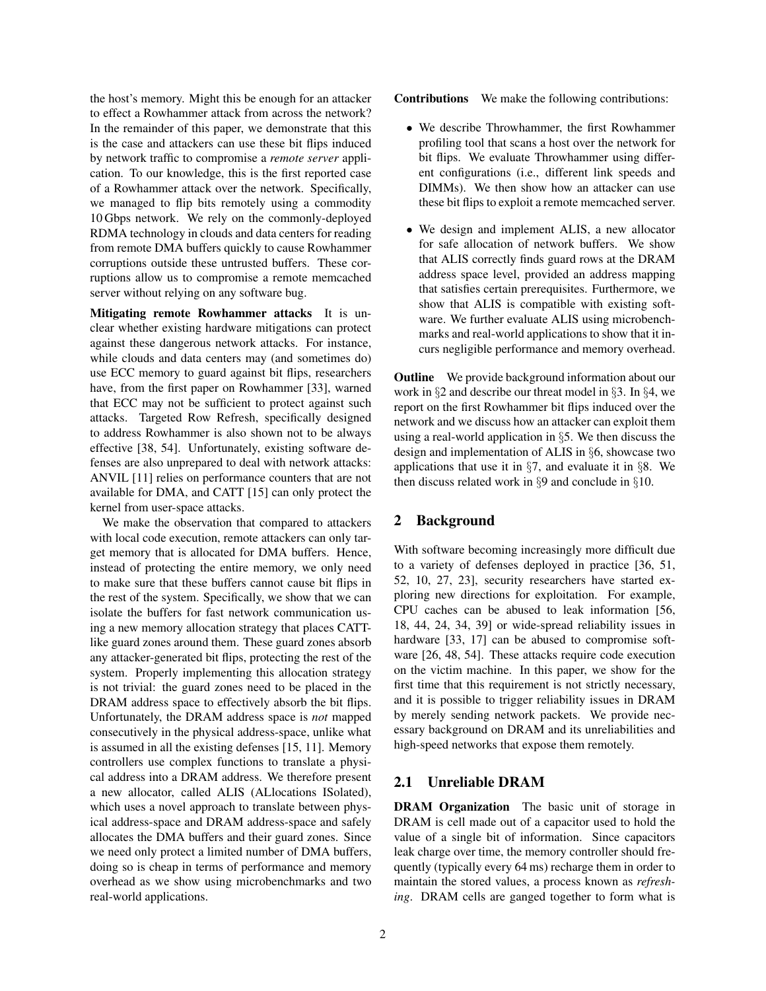the host's memory. Might this be enough for an attacker to effect a Rowhammer attack from across the network? In the remainder of this paper, we demonstrate that this is the case and attackers can use these bit flips induced by network traffic to compromise a *remote server* application. To our knowledge, this is the first reported case of a Rowhammer attack over the network. Specifically, we managed to flip bits remotely using a commodity 10 Gbps network. We rely on the commonly-deployed RDMA technology in clouds and data centers for reading from remote DMA buffers quickly to cause Rowhammer corruptions outside these untrusted buffers. These corruptions allow us to compromise a remote memcached server without relying on any software bug.

Mitigating remote Rowhammer attacks It is unclear whether existing hardware mitigations can protect against these dangerous network attacks. For instance, while clouds and data centers may (and sometimes do) use ECC memory to guard against bit flips, researchers have, from the first paper on Rowhammer [33], warned that ECC may not be sufficient to protect against such attacks. Targeted Row Refresh, specifically designed to address Rowhammer is also shown not to be always effective [38, 54]. Unfortunately, existing software defenses are also unprepared to deal with network attacks: ANVIL [11] relies on performance counters that are not available for DMA, and CATT [15] can only protect the kernel from user-space attacks.

We make the observation that compared to attackers with local code execution, remote attackers can only target memory that is allocated for DMA buffers. Hence, instead of protecting the entire memory, we only need to make sure that these buffers cannot cause bit flips in the rest of the system. Specifically, we show that we can isolate the buffers for fast network communication using a new memory allocation strategy that places CATTlike guard zones around them. These guard zones absorb any attacker-generated bit flips, protecting the rest of the system. Properly implementing this allocation strategy is not trivial: the guard zones need to be placed in the DRAM address space to effectively absorb the bit flips. Unfortunately, the DRAM address space is *not* mapped consecutively in the physical address-space, unlike what is assumed in all the existing defenses [15, 11]. Memory controllers use complex functions to translate a physical address into a DRAM address. We therefore present a new allocator, called ALIS (ALlocations ISolated), which uses a novel approach to translate between physical address-space and DRAM address-space and safely allocates the DMA buffers and their guard zones. Since we need only protect a limited number of DMA buffers, doing so is cheap in terms of performance and memory overhead as we show using microbenchmarks and two real-world applications.

Contributions We make the following contributions:

- We describe Throwhammer, the first Rowhammer profiling tool that scans a host over the network for bit flips. We evaluate Throwhammer using different configurations (i.e., different link speeds and DIMMs). We then show how an attacker can use these bit flips to exploit a remote memcached server.
- We design and implement ALIS, a new allocator for safe allocation of network buffers. We show that ALIS correctly finds guard rows at the DRAM address space level, provided an address mapping that satisfies certain prerequisites. Furthermore, we show that ALIS is compatible with existing software. We further evaluate ALIS using microbenchmarks and real-world applications to show that it incurs negligible performance and memory overhead.

**Outline** We provide background information about our work in §2 and describe our threat model in §3. In §4, we report on the first Rowhammer bit flips induced over the network and we discuss how an attacker can exploit them using a real-world application in §5. We then discuss the design and implementation of ALIS in §6, showcase two applications that use it in  $\S$ 7, and evaluate it in  $\S$ 8. We then discuss related work in §9 and conclude in §10.

# 2 Background

With software becoming increasingly more difficult due to a variety of defenses deployed in practice [36, 51, 52, 10, 27, 23], security researchers have started exploring new directions for exploitation. For example, CPU caches can be abused to leak information [56, 18, 44, 24, 34, 39] or wide-spread reliability issues in hardware [33, 17] can be abused to compromise software [26, 48, 54]. These attacks require code execution on the victim machine. In this paper, we show for the first time that this requirement is not strictly necessary, and it is possible to trigger reliability issues in DRAM by merely sending network packets. We provide necessary background on DRAM and its unreliabilities and high-speed networks that expose them remotely.

### 2.1 Unreliable DRAM

DRAM Organization The basic unit of storage in DRAM is cell made out of a capacitor used to hold the value of a single bit of information. Since capacitors leak charge over time, the memory controller should frequently (typically every 64 ms) recharge them in order to maintain the stored values, a process known as *refreshing*. DRAM cells are ganged together to form what is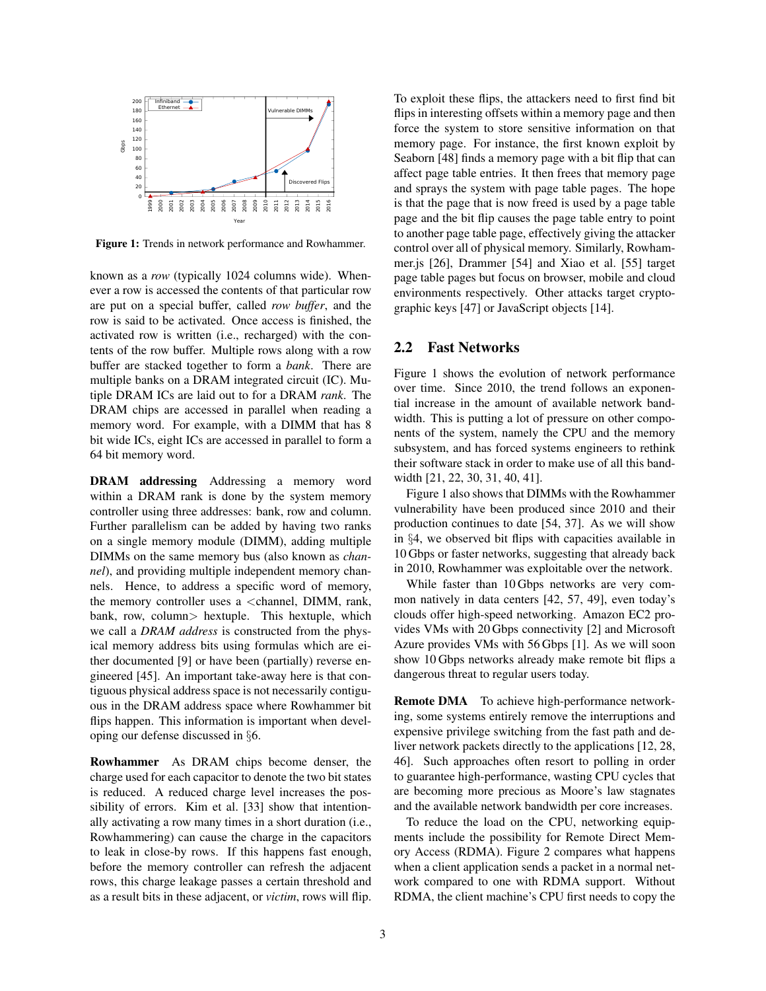

Figure 1: Trends in network performance and Rowhammer.

known as a *row* (typically 1024 columns wide). Whenever a row is accessed the contents of that particular row are put on a special buffer, called *row buffer*, and the row is said to be activated. Once access is finished, the activated row is written (i.e., recharged) with the contents of the row buffer. Multiple rows along with a row buffer are stacked together to form a *bank*. There are multiple banks on a DRAM integrated circuit (IC). Mutiple DRAM ICs are laid out to for a DRAM *rank*. The DRAM chips are accessed in parallel when reading a memory word. For example, with a DIMM that has 8 bit wide ICs, eight ICs are accessed in parallel to form a 64 bit memory word.

DRAM addressing Addressing a memory word within a DRAM rank is done by the system memory controller using three addresses: bank, row and column. Further parallelism can be added by having two ranks on a single memory module (DIMM), adding multiple DIMMs on the same memory bus (also known as *channel*), and providing multiple independent memory channels. Hence, to address a specific word of memory, the memory controller uses a <channel, DIMM, rank, bank, row, column> hextuple. This hextuple, which we call a *DRAM address* is constructed from the physical memory address bits using formulas which are either documented [9] or have been (partially) reverse engineered [45]. An important take-away here is that contiguous physical address space is not necessarily contiguous in the DRAM address space where Rowhammer bit flips happen. This information is important when developing our defense discussed in §6.

Rowhammer As DRAM chips become denser, the charge used for each capacitor to denote the two bit states is reduced. A reduced charge level increases the possibility of errors. Kim et al. [33] show that intentionally activating a row many times in a short duration (i.e., Rowhammering) can cause the charge in the capacitors to leak in close-by rows. If this happens fast enough, before the memory controller can refresh the adjacent rows, this charge leakage passes a certain threshold and as a result bits in these adjacent, or *victim*, rows will flip. To exploit these flips, the attackers need to first find bit flips in interesting offsets within a memory page and then force the system to store sensitive information on that memory page. For instance, the first known exploit by Seaborn [48] finds a memory page with a bit flip that can affect page table entries. It then frees that memory page and sprays the system with page table pages. The hope is that the page that is now freed is used by a page table page and the bit flip causes the page table entry to point to another page table page, effectively giving the attacker control over all of physical memory. Similarly, Rowhammer.js [26], Drammer [54] and Xiao et al. [55] target page table pages but focus on browser, mobile and cloud environments respectively. Other attacks target cryptographic keys [47] or JavaScript objects [14].

#### 2.2 Fast Networks

Figure 1 shows the evolution of network performance over time. Since 2010, the trend follows an exponential increase in the amount of available network bandwidth. This is putting a lot of pressure on other components of the system, namely the CPU and the memory subsystem, and has forced systems engineers to rethink their software stack in order to make use of all this bandwidth [21, 22, 30, 31, 40, 41].

Figure 1 also shows that DIMMs with the Rowhammer vulnerability have been produced since 2010 and their production continues to date [54, 37]. As we will show in §4, we observed bit flips with capacities available in 10 Gbps or faster networks, suggesting that already back in 2010, Rowhammer was exploitable over the network.

While faster than 10 Gbps networks are very common natively in data centers [42, 57, 49], even today's clouds offer high-speed networking. Amazon EC2 provides VMs with 20 Gbps connectivity [2] and Microsoft Azure provides VMs with 56 Gbps [1]. As we will soon show 10 Gbps networks already make remote bit flips a dangerous threat to regular users today.

Remote DMA To achieve high-performance networking, some systems entirely remove the interruptions and expensive privilege switching from the fast path and deliver network packets directly to the applications [12, 28, 46]. Such approaches often resort to polling in order to guarantee high-performance, wasting CPU cycles that are becoming more precious as Moore's law stagnates and the available network bandwidth per core increases.

To reduce the load on the CPU, networking equipments include the possibility for Remote Direct Memory Access (RDMA). Figure 2 compares what happens when a client application sends a packet in a normal network compared to one with RDMA support. Without RDMA, the client machine's CPU first needs to copy the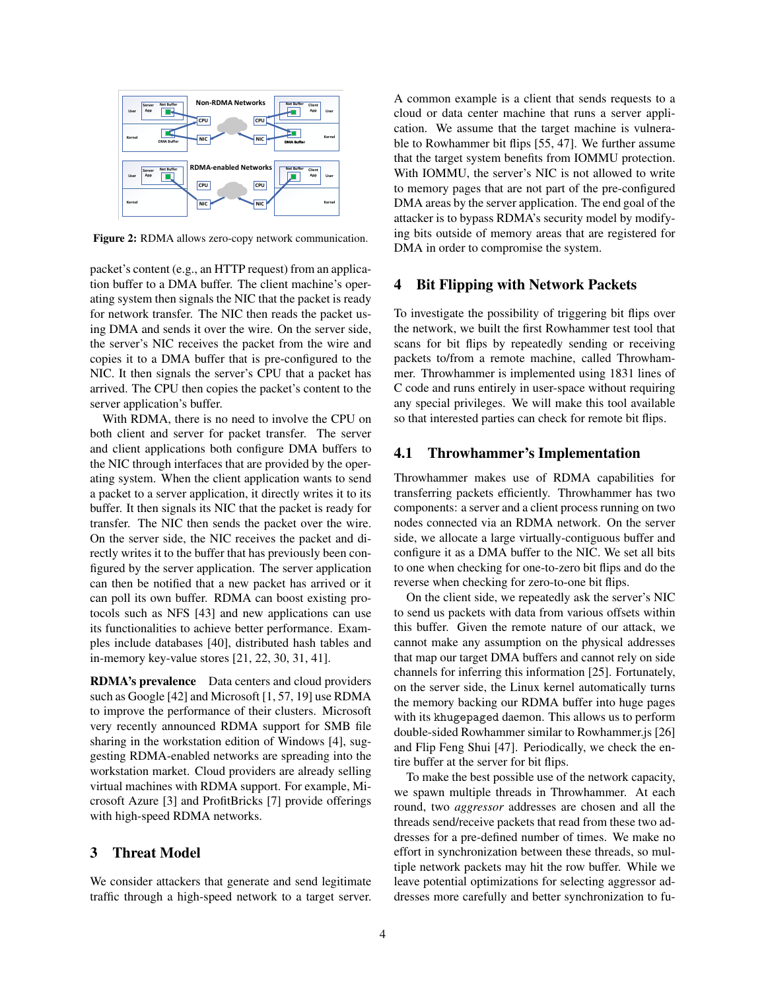

Figure 2: RDMA allows zero-copy network communication.

packet's content (e.g., an HTTP request) from an application buffer to a DMA buffer. The client machine's operating system then signals the NIC that the packet is ready for network transfer. The NIC then reads the packet using DMA and sends it over the wire. On the server side, the server's NIC receives the packet from the wire and copies it to a DMA buffer that is pre-configured to the NIC. It then signals the server's CPU that a packet has arrived. The CPU then copies the packet's content to the server application's buffer.

With RDMA, there is no need to involve the CPU on both client and server for packet transfer. The server and client applications both configure DMA buffers to the NIC through interfaces that are provided by the operating system. When the client application wants to send a packet to a server application, it directly writes it to its buffer. It then signals its NIC that the packet is ready for transfer. The NIC then sends the packet over the wire. On the server side, the NIC receives the packet and directly writes it to the buffer that has previously been configured by the server application. The server application can then be notified that a new packet has arrived or it can poll its own buffer. RDMA can boost existing protocols such as NFS [43] and new applications can use its functionalities to achieve better performance. Examples include databases [40], distributed hash tables and in-memory key-value stores [21, 22, 30, 31, 41].

RDMA's prevalence Data centers and cloud providers such as Google [42] and Microsoft [1, 57, 19] use RDMA to improve the performance of their clusters. Microsoft very recently announced RDMA support for SMB file sharing in the workstation edition of Windows [4], suggesting RDMA-enabled networks are spreading into the workstation market. Cloud providers are already selling virtual machines with RDMA support. For example, Microsoft Azure [3] and ProfitBricks [7] provide offerings with high-speed RDMA networks.

# 3 Threat Model

We consider attackers that generate and send legitimate traffic through a high-speed network to a target server. A common example is a client that sends requests to a cloud or data center machine that runs a server application. We assume that the target machine is vulnerable to Rowhammer bit flips [55, 47]. We further assume that the target system benefits from IOMMU protection. With IOMMU, the server's NIC is not allowed to write to memory pages that are not part of the pre-configured DMA areas by the server application. The end goal of the attacker is to bypass RDMA's security model by modifying bits outside of memory areas that are registered for DMA in order to compromise the system.

### 4 Bit Flipping with Network Packets

To investigate the possibility of triggering bit flips over the network, we built the first Rowhammer test tool that scans for bit flips by repeatedly sending or receiving packets to/from a remote machine, called Throwhammer. Throwhammer is implemented using 1831 lines of C code and runs entirely in user-space without requiring any special privileges. We will make this tool available so that interested parties can check for remote bit flips.

#### 4.1 Throwhammer's Implementation

Throwhammer makes use of RDMA capabilities for transferring packets efficiently. Throwhammer has two components: a server and a client process running on two nodes connected via an RDMA network. On the server side, we allocate a large virtually-contiguous buffer and configure it as a DMA buffer to the NIC. We set all bits to one when checking for one-to-zero bit flips and do the reverse when checking for zero-to-one bit flips.

On the client side, we repeatedly ask the server's NIC to send us packets with data from various offsets within this buffer. Given the remote nature of our attack, we cannot make any assumption on the physical addresses that map our target DMA buffers and cannot rely on side channels for inferring this information [25]. Fortunately, on the server side, the Linux kernel automatically turns the memory backing our RDMA buffer into huge pages with its khugepaged daemon. This allows us to perform double-sided Rowhammer similar to Rowhammer.js [26] and Flip Feng Shui [47]. Periodically, we check the entire buffer at the server for bit flips.

To make the best possible use of the network capacity, we spawn multiple threads in Throwhammer. At each round, two *aggressor* addresses are chosen and all the threads send/receive packets that read from these two addresses for a pre-defined number of times. We make no effort in synchronization between these threads, so multiple network packets may hit the row buffer. While we leave potential optimizations for selecting aggressor addresses more carefully and better synchronization to fu-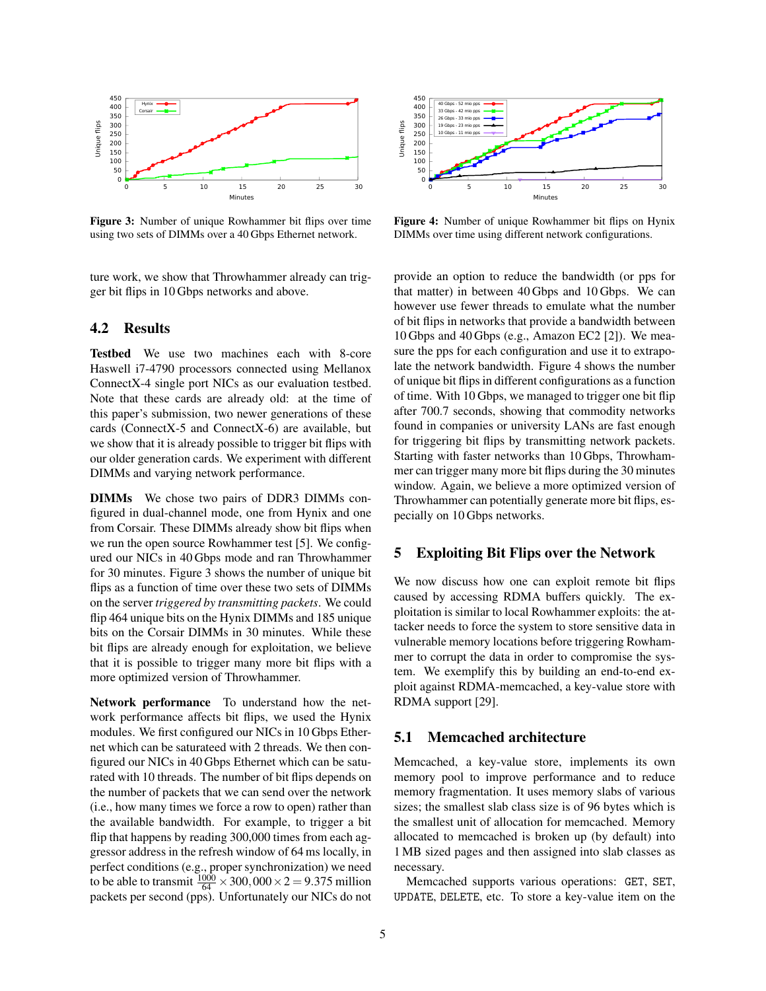

Figure 3: Number of unique Rowhammer bit flips over time using two sets of DIMMs over a 40 Gbps Ethernet network.

ture work, we show that Throwhammer already can trigger bit flips in 10 Gbps networks and above.

# 4.2 Results

Testbed We use two machines each with 8-core Haswell i7-4790 processors connected using Mellanox ConnectX-4 single port NICs as our evaluation testbed. Note that these cards are already old: at the time of this paper's submission, two newer generations of these cards (ConnectX-5 and ConnectX-6) are available, but we show that it is already possible to trigger bit flips with our older generation cards. We experiment with different DIMMs and varying network performance.

DIMMs We chose two pairs of DDR3 DIMMs configured in dual-channel mode, one from Hynix and one from Corsair. These DIMMs already show bit flips when we run the open source Rowhammer test [5]. We configured our NICs in 40 Gbps mode and ran Throwhammer for 30 minutes. Figure 3 shows the number of unique bit flips as a function of time over these two sets of DIMMs on the server *triggered by transmitting packets*. We could flip 464 unique bits on the Hynix DIMMs and 185 unique bits on the Corsair DIMMs in 30 minutes. While these bit flips are already enough for exploitation, we believe that it is possible to trigger many more bit flips with a more optimized version of Throwhammer.

Network performance To understand how the network performance affects bit flips, we used the Hynix modules. We first configured our NICs in 10 Gbps Ethernet which can be saturateed with 2 threads. We then configured our NICs in 40 Gbps Ethernet which can be saturated with 10 threads. The number of bit flips depends on the number of packets that we can send over the network (i.e., how many times we force a row to open) rather than the available bandwidth. For example, to trigger a bit flip that happens by reading 300,000 times from each aggressor address in the refresh window of 64 ms locally, in perfect conditions (e.g., proper synchronization) we need to be able to transmit  $\frac{1000}{64} \times 300,000 \times 2 = 9.375$  million packets per second (pps). Unfortunately our NICs do not



Figure 4: Number of unique Rowhammer bit flips on Hynix DIMMs over time using different network configurations.

provide an option to reduce the bandwidth (or pps for that matter) in between 40 Gbps and 10 Gbps. We can however use fewer threads to emulate what the number of bit flips in networks that provide a bandwidth between 10 Gbps and 40 Gbps (e.g., Amazon EC2 [2]). We measure the pps for each configuration and use it to extrapolate the network bandwidth. Figure 4 shows the number of unique bit flips in different configurations as a function of time. With 10 Gbps, we managed to trigger one bit flip after 700.7 seconds, showing that commodity networks found in companies or university LANs are fast enough for triggering bit flips by transmitting network packets. Starting with faster networks than 10 Gbps, Throwhammer can trigger many more bit flips during the 30 minutes window. Again, we believe a more optimized version of Throwhammer can potentially generate more bit flips, especially on 10 Gbps networks.

#### 5 Exploiting Bit Flips over the Network

We now discuss how one can exploit remote bit flips caused by accessing RDMA buffers quickly. The exploitation is similar to local Rowhammer exploits: the attacker needs to force the system to store sensitive data in vulnerable memory locations before triggering Rowhammer to corrupt the data in order to compromise the system. We exemplify this by building an end-to-end exploit against RDMA-memcached, a key-value store with RDMA support [29].

#### 5.1 Memcached architecture

Memcached, a key-value store, implements its own memory pool to improve performance and to reduce memory fragmentation. It uses memory slabs of various sizes; the smallest slab class size is of 96 bytes which is the smallest unit of allocation for memcached. Memory allocated to memcached is broken up (by default) into 1 MB sized pages and then assigned into slab classes as necessary.

Memcached supports various operations: GET, SET, UPDATE, DELETE, etc. To store a key-value item on the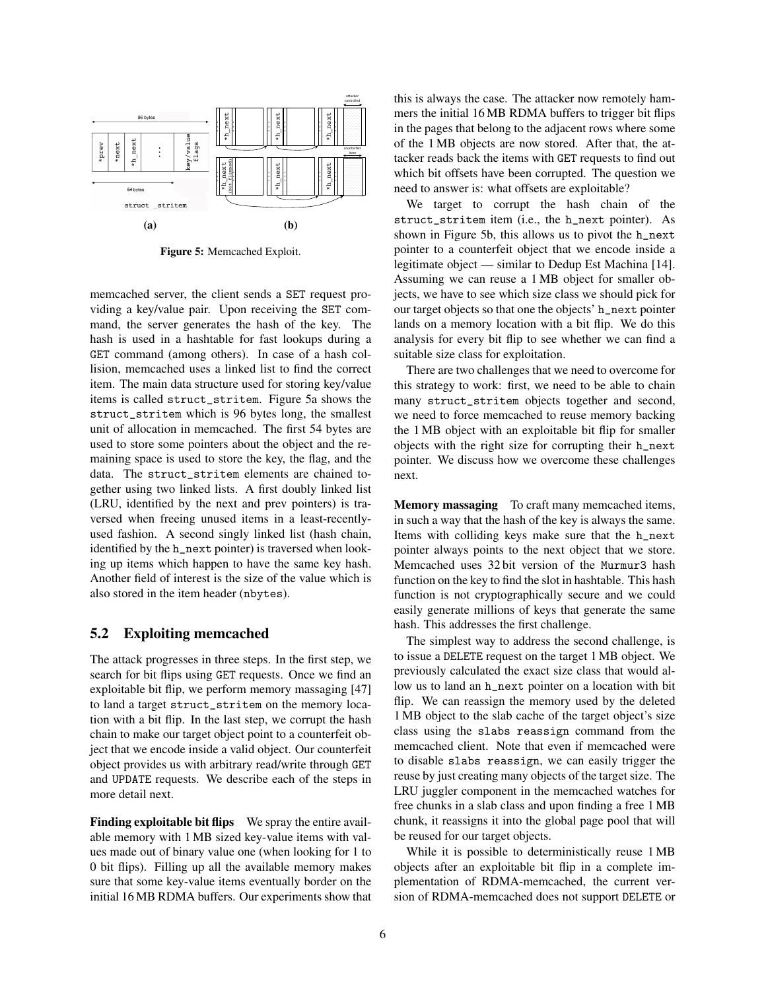

Figure 5: Memcached Exploit.

memcached server, the client sends a SET request providing a key/value pair. Upon receiving the SET command, the server generates the hash of the key. The hash is used in a hashtable for fast lookups during a GET command (among others). In case of a hash collision, memcached uses a linked list to find the correct item. The main data structure used for storing key/value items is called struct\_stritem. Figure 5a shows the struct\_stritem which is 96 bytes long, the smallest unit of allocation in memcached. The first 54 bytes are used to store some pointers about the object and the remaining space is used to store the key, the flag, and the data. The struct\_stritem elements are chained together using two linked lists. A first doubly linked list (LRU, identified by the next and prev pointers) is traversed when freeing unused items in a least-recentlyused fashion. A second singly linked list (hash chain, identified by the h\_next pointer) is traversed when looking up items which happen to have the same key hash. Another field of interest is the size of the value which is also stored in the item header (nbytes).

## 5.2 Exploiting memcached

The attack progresses in three steps. In the first step, we search for bit flips using GET requests. Once we find an exploitable bit flip, we perform memory massaging [47] to land a target struct\_stritem on the memory location with a bit flip. In the last step, we corrupt the hash chain to make our target object point to a counterfeit object that we encode inside a valid object. Our counterfeit object provides us with arbitrary read/write through GET and UPDATE requests. We describe each of the steps in more detail next.

Finding exploitable bit flips We spray the entire available memory with 1 MB sized key-value items with values made out of binary value one (when looking for 1 to 0 bit flips). Filling up all the available memory makes sure that some key-value items eventually border on the initial 16 MB RDMA buffers. Our experiments show that this is always the case. The attacker now remotely hammers the initial 16 MB RDMA buffers to trigger bit flips in the pages that belong to the adjacent rows where some of the 1 MB objects are now stored. After that, the attacker reads back the items with GET requests to find out which bit offsets have been corrupted. The question we need to answer is: what offsets are exploitable?

We target to corrupt the hash chain of the struct\_stritem item (i.e., the h\_next pointer). As shown in Figure 5b, this allows us to pivot the h\_next pointer to a counterfeit object that we encode inside a legitimate object — similar to Dedup Est Machina [14]. Assuming we can reuse a 1 MB object for smaller objects, we have to see which size class we should pick for our target objects so that one the objects' h\_next pointer lands on a memory location with a bit flip. We do this analysis for every bit flip to see whether we can find a suitable size class for exploitation.

There are two challenges that we need to overcome for this strategy to work: first, we need to be able to chain many struct\_stritem objects together and second, we need to force memcached to reuse memory backing the 1 MB object with an exploitable bit flip for smaller objects with the right size for corrupting their h\_next pointer. We discuss how we overcome these challenges next.

Memory massaging To craft many memcached items, in such a way that the hash of the key is always the same. Items with colliding keys make sure that the h\_next pointer always points to the next object that we store. Memcached uses 32 bit version of the Murmur3 hash function on the key to find the slot in hashtable. This hash function is not cryptographically secure and we could easily generate millions of keys that generate the same hash. This addresses the first challenge.

The simplest way to address the second challenge, is to issue a DELETE request on the target 1 MB object. We previously calculated the exact size class that would allow us to land an h\_next pointer on a location with bit flip. We can reassign the memory used by the deleted 1 MB object to the slab cache of the target object's size class using the slabs reassign command from the memcached client. Note that even if memcached were to disable slabs reassign, we can easily trigger the reuse by just creating many objects of the target size. The LRU juggler component in the memcached watches for free chunks in a slab class and upon finding a free 1 MB chunk, it reassigns it into the global page pool that will be reused for our target objects.

While it is possible to deterministically reuse 1 MB objects after an exploitable bit flip in a complete implementation of RDMA-memcached, the current version of RDMA-memcached does not support DELETE or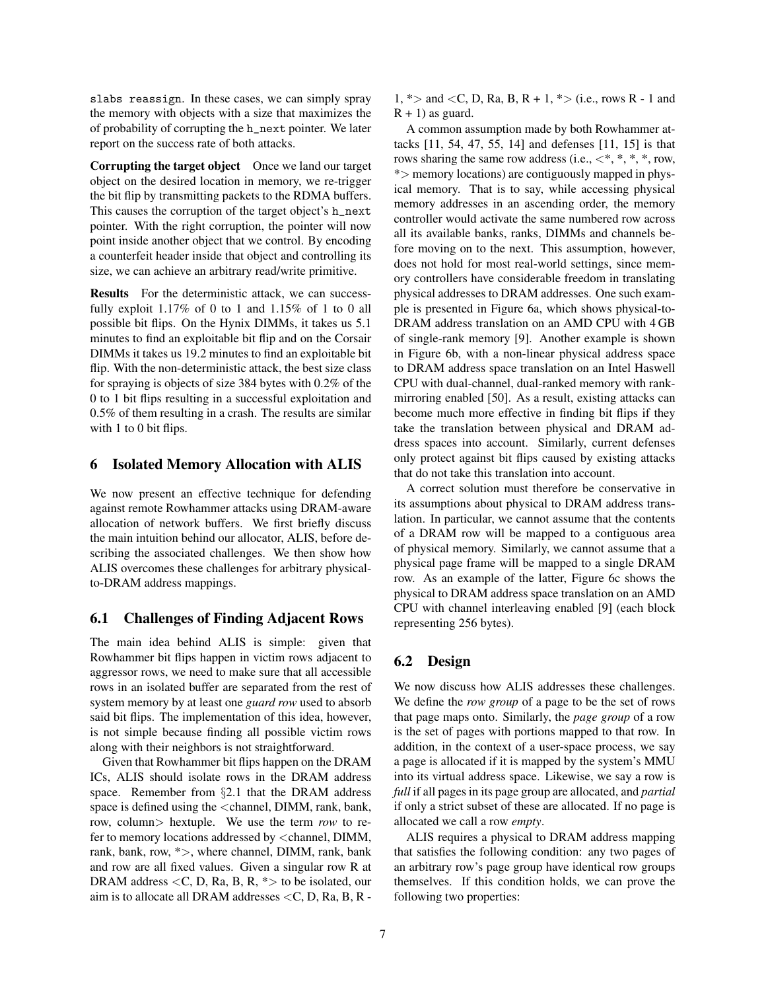slabs reassign. In these cases, we can simply spray the memory with objects with a size that maximizes the of probability of corrupting the h\_next pointer. We later report on the success rate of both attacks.

Corrupting the target object Once we land our target object on the desired location in memory, we re-trigger the bit flip by transmitting packets to the RDMA buffers. This causes the corruption of the target object's h\_next pointer. With the right corruption, the pointer will now point inside another object that we control. By encoding a counterfeit header inside that object and controlling its size, we can achieve an arbitrary read/write primitive.

Results For the deterministic attack, we can successfully exploit 1.17% of 0 to 1 and 1.15% of 1 to 0 all possible bit flips. On the Hynix DIMMs, it takes us 5.1 minutes to find an exploitable bit flip and on the Corsair DIMMs it takes us 19.2 minutes to find an exploitable bit flip. With the non-deterministic attack, the best size class for spraying is objects of size 384 bytes with 0.2% of the 0 to 1 bit flips resulting in a successful exploitation and 0.5% of them resulting in a crash. The results are similar with 1 to 0 bit flips.

#### 6 Isolated Memory Allocation with ALIS

We now present an effective technique for defending against remote Rowhammer attacks using DRAM-aware allocation of network buffers. We first briefly discuss the main intuition behind our allocator, ALIS, before describing the associated challenges. We then show how ALIS overcomes these challenges for arbitrary physicalto-DRAM address mappings.

# 6.1 Challenges of Finding Adjacent Rows

The main idea behind ALIS is simple: given that Rowhammer bit flips happen in victim rows adjacent to aggressor rows, we need to make sure that all accessible rows in an isolated buffer are separated from the rest of system memory by at least one *guard row* used to absorb said bit flips. The implementation of this idea, however, is not simple because finding all possible victim rows along with their neighbors is not straightforward.

Given that Rowhammer bit flips happen on the DRAM ICs, ALIS should isolate rows in the DRAM address space. Remember from §2.1 that the DRAM address space is defined using the <channel, DIMM, rank, bank, row, column> hextuple. We use the term *row* to refer to memory locations addressed by <channel, DIMM, rank, bank, row,  $\ast$  >, where channel, DIMM, rank, bank and row are all fixed values. Given a singular row R at DRAM address  $\langle C, D, Ra, B, R, * \rangle$  to be isolated, our aim is to allocate all DRAM addresses <C, D, Ra, B, R -

1,  $\ast$  > and < C, D, Ra, B, R + 1,  $\ast$  > (i.e., rows R - 1 and  $R + 1$ ) as guard.

A common assumption made by both Rowhammer attacks [11, 54, 47, 55, 14] and defenses [11, 15] is that rows sharing the same row address (i.e.,  $\lt^*, *$ , \*, \*, row, \*> memory locations) are contiguously mapped in physical memory. That is to say, while accessing physical memory addresses in an ascending order, the memory controller would activate the same numbered row across all its available banks, ranks, DIMMs and channels before moving on to the next. This assumption, however, does not hold for most real-world settings, since memory controllers have considerable freedom in translating physical addresses to DRAM addresses. One such example is presented in Figure 6a, which shows physical-to-DRAM address translation on an AMD CPU with 4 GB of single-rank memory [9]. Another example is shown in Figure 6b, with a non-linear physical address space to DRAM address space translation on an Intel Haswell CPU with dual-channel, dual-ranked memory with rankmirroring enabled [50]. As a result, existing attacks can become much more effective in finding bit flips if they take the translation between physical and DRAM address spaces into account. Similarly, current defenses only protect against bit flips caused by existing attacks that do not take this translation into account.

A correct solution must therefore be conservative in its assumptions about physical to DRAM address translation. In particular, we cannot assume that the contents of a DRAM row will be mapped to a contiguous area of physical memory. Similarly, we cannot assume that a physical page frame will be mapped to a single DRAM row. As an example of the latter, Figure 6c shows the physical to DRAM address space translation on an AMD CPU with channel interleaving enabled [9] (each block representing 256 bytes).

## 6.2 Design

We now discuss how ALIS addresses these challenges. We define the *row group* of a page to be the set of rows that page maps onto. Similarly, the *page group* of a row is the set of pages with portions mapped to that row. In addition, in the context of a user-space process, we say a page is allocated if it is mapped by the system's MMU into its virtual address space. Likewise, we say a row is *full* if all pages in its page group are allocated, and *partial* if only a strict subset of these are allocated. If no page is allocated we call a row *empty*.

ALIS requires a physical to DRAM address mapping that satisfies the following condition: any two pages of an arbitrary row's page group have identical row groups themselves. If this condition holds, we can prove the following two properties: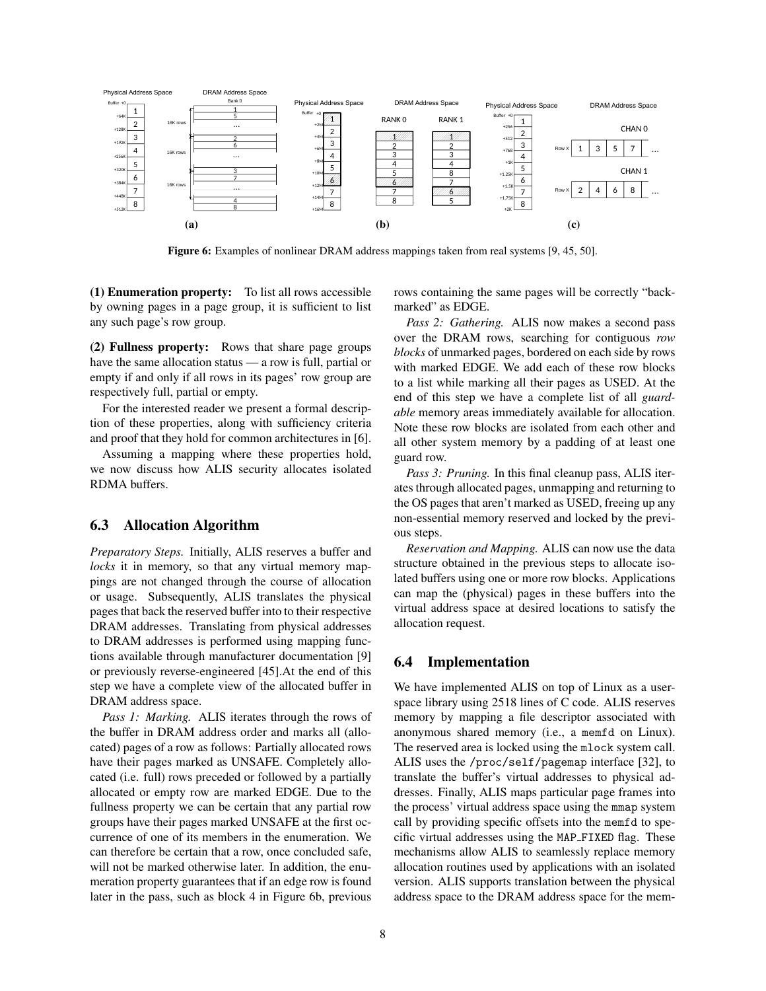

Figure 6: Examples of nonlinear DRAM address mappings taken from real systems [9, 45, 50].

(1) Enumeration property: To list all rows accessible by owning pages in a page group, it is sufficient to list any such page's row group.

(2) Fullness property: Rows that share page groups have the same allocation status — a row is full, partial or empty if and only if all rows in its pages' row group are respectively full, partial or empty.

For the interested reader we present a formal description of these properties, along with sufficiency criteria and proof that they hold for common architectures in [6].

Assuming a mapping where these properties hold, we now discuss how ALIS security allocates isolated RDMA buffers.

## 6.3 Allocation Algorithm

*Preparatory Steps.* Initially, ALIS reserves a buffer and *locks* it in memory, so that any virtual memory mappings are not changed through the course of allocation or usage. Subsequently, ALIS translates the physical pages that back the reserved buffer into to their respective DRAM addresses. Translating from physical addresses to DRAM addresses is performed using mapping functions available through manufacturer documentation [9] or previously reverse-engineered [45].At the end of this step we have a complete view of the allocated buffer in DRAM address space.

*Pass 1: Marking.* ALIS iterates through the rows of the buffer in DRAM address order and marks all (allocated) pages of a row as follows: Partially allocated rows have their pages marked as UNSAFE. Completely allocated (i.e. full) rows preceded or followed by a partially allocated or empty row are marked EDGE. Due to the fullness property we can be certain that any partial row groups have their pages marked UNSAFE at the first occurrence of one of its members in the enumeration. We can therefore be certain that a row, once concluded safe, will not be marked otherwise later. In addition, the enumeration property guarantees that if an edge row is found later in the pass, such as block 4 in Figure 6b, previous rows containing the same pages will be correctly "backmarked" as EDGE.

*Pass 2: Gathering.* ALIS now makes a second pass over the DRAM rows, searching for contiguous *row blocks* of unmarked pages, bordered on each side by rows with marked EDGE. We add each of these row blocks to a list while marking all their pages as USED. At the end of this step we have a complete list of all *guardable* memory areas immediately available for allocation. Note these row blocks are isolated from each other and all other system memory by a padding of at least one guard row.

*Pass 3: Pruning.* In this final cleanup pass, ALIS iterates through allocated pages, unmapping and returning to the OS pages that aren't marked as USED, freeing up any non-essential memory reserved and locked by the previous steps.

*Reservation and Mapping.* ALIS can now use the data structure obtained in the previous steps to allocate isolated buffers using one or more row blocks. Applications can map the (physical) pages in these buffers into the virtual address space at desired locations to satisfy the allocation request.

# 6.4 Implementation

We have implemented ALIS on top of Linux as a userspace library using 2518 lines of C code. ALIS reserves memory by mapping a file descriptor associated with anonymous shared memory (i.e., a memfd on Linux). The reserved area is locked using the mlock system call. ALIS uses the /proc/self/pagemap interface [32], to translate the buffer's virtual addresses to physical addresses. Finally, ALIS maps particular page frames into the process' virtual address space using the mmap system call by providing specific offsets into the memfd to specific virtual addresses using the MAP FIXED flag. These mechanisms allow ALIS to seamlessly replace memory allocation routines used by applications with an isolated version. ALIS supports translation between the physical address space to the DRAM address space for the mem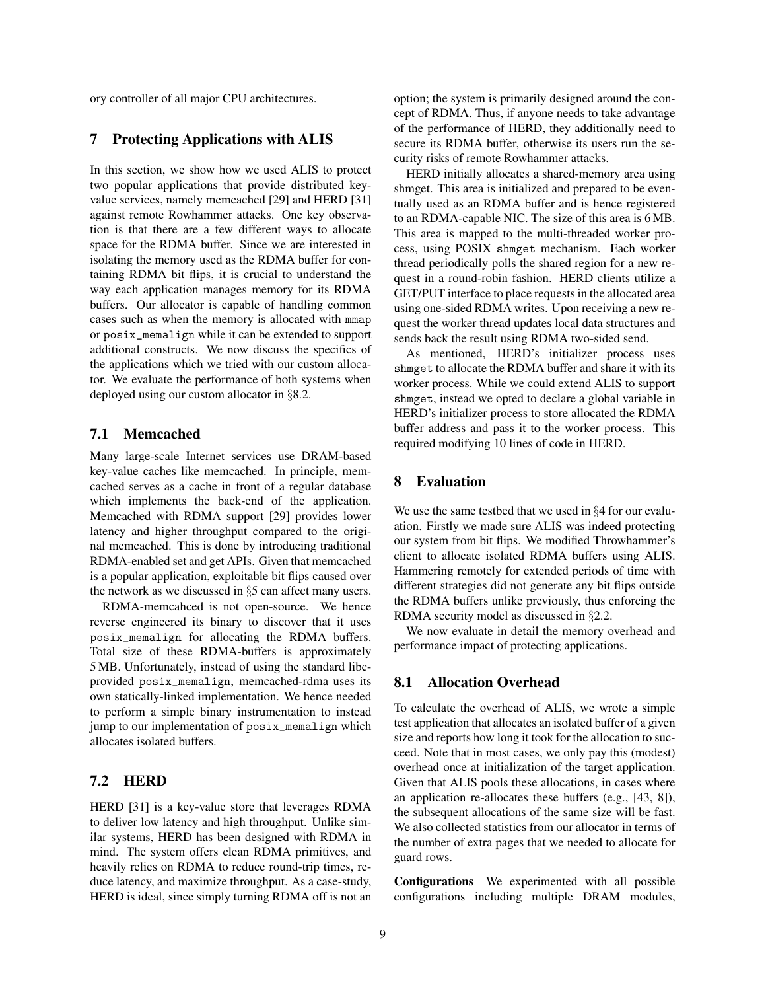ory controller of all major CPU architectures.

#### 7 Protecting Applications with ALIS

In this section, we show how we used ALIS to protect two popular applications that provide distributed keyvalue services, namely memcached [29] and HERD [31] against remote Rowhammer attacks. One key observation is that there are a few different ways to allocate space for the RDMA buffer. Since we are interested in isolating the memory used as the RDMA buffer for containing RDMA bit flips, it is crucial to understand the way each application manages memory for its RDMA buffers. Our allocator is capable of handling common cases such as when the memory is allocated with mmap or posix\_memalign while it can be extended to support additional constructs. We now discuss the specifics of the applications which we tried with our custom allocator. We evaluate the performance of both systems when deployed using our custom allocator in §8.2.

# 7.1 Memcached

Many large-scale Internet services use DRAM-based key-value caches like memcached. In principle, memcached serves as a cache in front of a regular database which implements the back-end of the application. Memcached with RDMA support [29] provides lower latency and higher throughput compared to the original memcached. This is done by introducing traditional RDMA-enabled set and get APIs. Given that memcached is a popular application, exploitable bit flips caused over the network as we discussed in §5 can affect many users.

RDMA-memcahced is not open-source. We hence reverse engineered its binary to discover that it uses posix\_memalign for allocating the RDMA buffers. Total size of these RDMA-buffers is approximately 5 MB. Unfortunately, instead of using the standard libcprovided posix\_memalign, memcached-rdma uses its own statically-linked implementation. We hence needed to perform a simple binary instrumentation to instead jump to our implementation of posix\_memalign which allocates isolated buffers.

# 7.2 HERD

HERD [31] is a key-value store that leverages RDMA to deliver low latency and high throughput. Unlike similar systems, HERD has been designed with RDMA in mind. The system offers clean RDMA primitives, and heavily relies on RDMA to reduce round-trip times, reduce latency, and maximize throughput. As a case-study, HERD is ideal, since simply turning RDMA off is not an option; the system is primarily designed around the concept of RDMA. Thus, if anyone needs to take advantage of the performance of HERD, they additionally need to secure its RDMA buffer, otherwise its users run the security risks of remote Rowhammer attacks.

HERD initially allocates a shared-memory area using shmget. This area is initialized and prepared to be eventually used as an RDMA buffer and is hence registered to an RDMA-capable NIC. The size of this area is 6 MB. This area is mapped to the multi-threaded worker process, using POSIX shmget mechanism. Each worker thread periodically polls the shared region for a new request in a round-robin fashion. HERD clients utilize a GET/PUT interface to place requests in the allocated area using one-sided RDMA writes. Upon receiving a new request the worker thread updates local data structures and sends back the result using RDMA two-sided send.

As mentioned, HERD's initializer process uses shmget to allocate the RDMA buffer and share it with its worker process. While we could extend ALIS to support shmget, instead we opted to declare a global variable in HERD's initializer process to store allocated the RDMA buffer address and pass it to the worker process. This required modifying 10 lines of code in HERD.

### 8 Evaluation

We use the same testbed that we used in §4 for our evaluation. Firstly we made sure ALIS was indeed protecting our system from bit flips. We modified Throwhammer's client to allocate isolated RDMA buffers using ALIS. Hammering remotely for extended periods of time with different strategies did not generate any bit flips outside the RDMA buffers unlike previously, thus enforcing the RDMA security model as discussed in §2.2.

We now evaluate in detail the memory overhead and performance impact of protecting applications.

#### 8.1 Allocation Overhead

To calculate the overhead of ALIS, we wrote a simple test application that allocates an isolated buffer of a given size and reports how long it took for the allocation to succeed. Note that in most cases, we only pay this (modest) overhead once at initialization of the target application. Given that ALIS pools these allocations, in cases where an application re-allocates these buffers (e.g., [43, 8]), the subsequent allocations of the same size will be fast. We also collected statistics from our allocator in terms of the number of extra pages that we needed to allocate for guard rows.

Configurations We experimented with all possible configurations including multiple DRAM modules,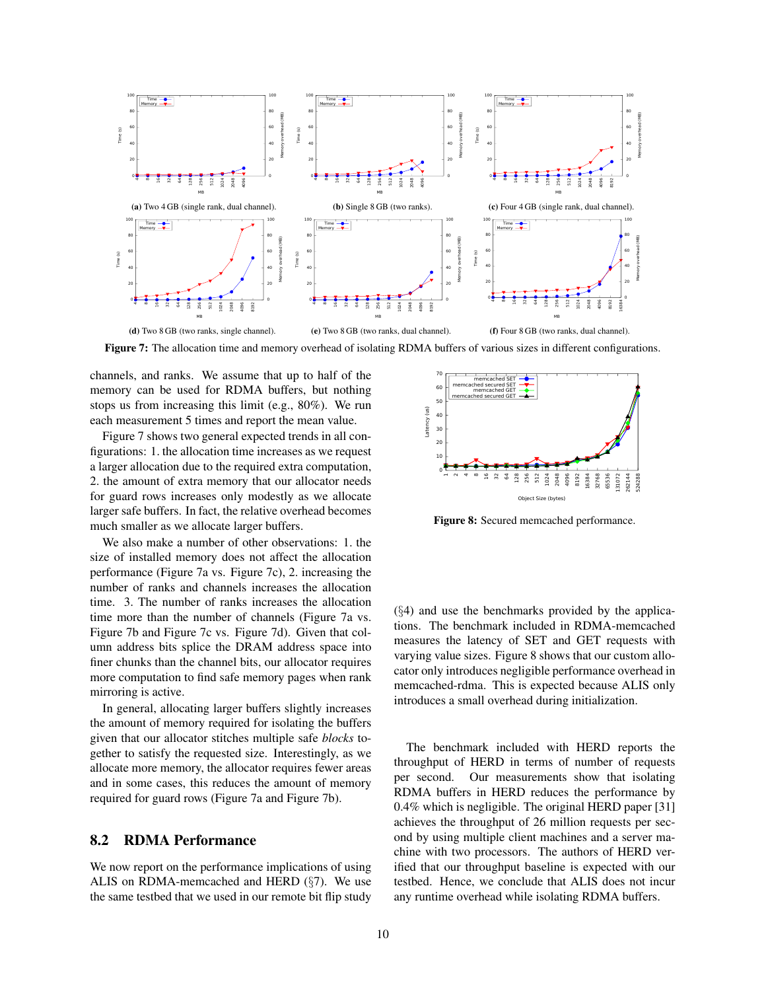

Figure 7: The allocation time and memory overhead of isolating RDMA buffers of various sizes in different configurations.

channels, and ranks. We assume that up to half of the memory can be used for RDMA buffers, but nothing stops us from increasing this limit (e.g., 80%). We run each measurement 5 times and report the mean value.

Figure 7 shows two general expected trends in all configurations: 1. the allocation time increases as we request a larger allocation due to the required extra computation, 2. the amount of extra memory that our allocator needs for guard rows increases only modestly as we allocate larger safe buffers. In fact, the relative overhead becomes much smaller as we allocate larger buffers.

We also make a number of other observations: 1. the size of installed memory does not affect the allocation performance (Figure 7a vs. Figure 7c), 2. increasing the number of ranks and channels increases the allocation time. 3. The number of ranks increases the allocation time more than the number of channels (Figure 7a vs. Figure 7b and Figure 7c vs. Figure 7d). Given that column address bits splice the DRAM address space into finer chunks than the channel bits, our allocator requires more computation to find safe memory pages when rank mirroring is active.

In general, allocating larger buffers slightly increases the amount of memory required for isolating the buffers given that our allocator stitches multiple safe *blocks* together to satisfy the requested size. Interestingly, as we allocate more memory, the allocator requires fewer areas and in some cases, this reduces the amount of memory required for guard rows (Figure 7a and Figure 7b).

# 8.2 RDMA Performance

We now report on the performance implications of using ALIS on RDMA-memcached and HERD (§7). We use the same testbed that we used in our remote bit flip study



Figure 8: Secured memcached performance.

 $(\S4)$  and use the benchmarks provided by the applications. The benchmark included in RDMA-memcached measures the latency of SET and GET requests with varying value sizes. Figure 8 shows that our custom allocator only introduces negligible performance overhead in memcached-rdma. This is expected because ALIS only introduces a small overhead during initialization.

The benchmark included with HERD reports the throughput of HERD in terms of number of requests per second. Our measurements show that isolating RDMA buffers in HERD reduces the performance by 0.4% which is negligible. The original HERD paper [31] achieves the throughput of 26 million requests per second by using multiple client machines and a server machine with two processors. The authors of HERD verified that our throughput baseline is expected with our testbed. Hence, we conclude that ALIS does not incur any runtime overhead while isolating RDMA buffers.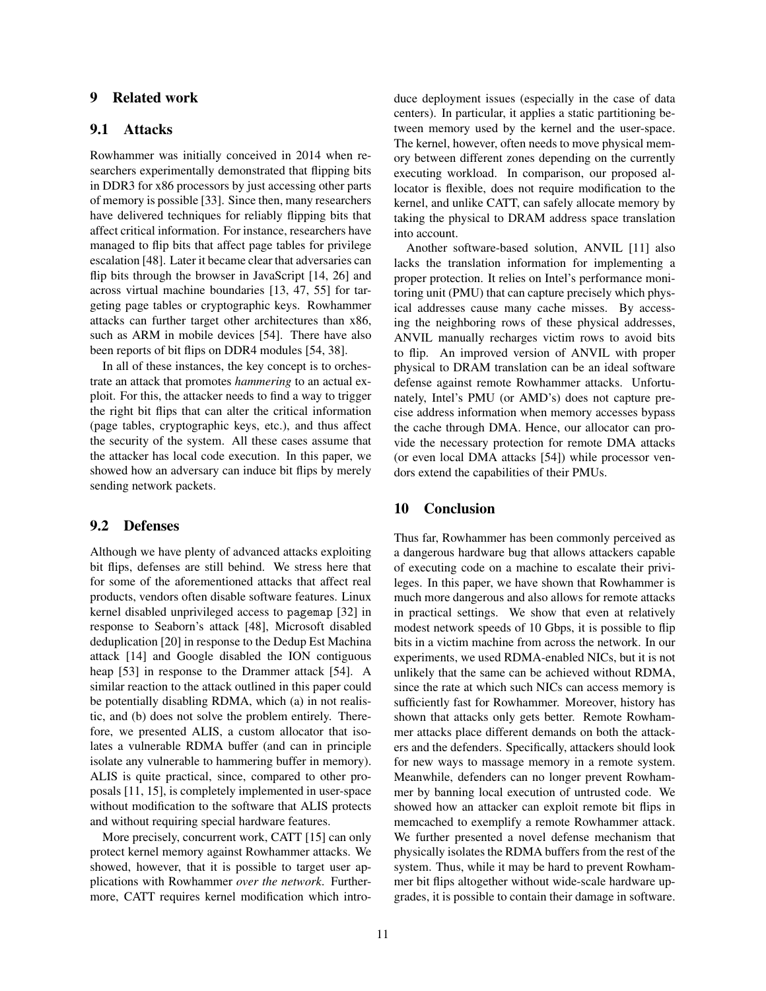# 9 Related work

# 9.1 Attacks

Rowhammer was initially conceived in 2014 when researchers experimentally demonstrated that flipping bits in DDR3 for x86 processors by just accessing other parts of memory is possible [33]. Since then, many researchers have delivered techniques for reliably flipping bits that affect critical information. For instance, researchers have managed to flip bits that affect page tables for privilege escalation [48]. Later it became clear that adversaries can flip bits through the browser in JavaScript [14, 26] and across virtual machine boundaries [13, 47, 55] for targeting page tables or cryptographic keys. Rowhammer attacks can further target other architectures than x86, such as ARM in mobile devices [54]. There have also been reports of bit flips on DDR4 modules [54, 38].

In all of these instances, the key concept is to orchestrate an attack that promotes *hammering* to an actual exploit. For this, the attacker needs to find a way to trigger the right bit flips that can alter the critical information (page tables, cryptographic keys, etc.), and thus affect the security of the system. All these cases assume that the attacker has local code execution. In this paper, we showed how an adversary can induce bit flips by merely sending network packets.

#### 9.2 Defenses

Although we have plenty of advanced attacks exploiting bit flips, defenses are still behind. We stress here that for some of the aforementioned attacks that affect real products, vendors often disable software features. Linux kernel disabled unprivileged access to pagemap [32] in response to Seaborn's attack [48], Microsoft disabled deduplication [20] in response to the Dedup Est Machina attack [14] and Google disabled the ION contiguous heap [53] in response to the Drammer attack [54]. A similar reaction to the attack outlined in this paper could be potentially disabling RDMA, which (a) in not realistic, and (b) does not solve the problem entirely. Therefore, we presented ALIS, a custom allocator that isolates a vulnerable RDMA buffer (and can in principle isolate any vulnerable to hammering buffer in memory). ALIS is quite practical, since, compared to other proposals [11, 15], is completely implemented in user-space without modification to the software that ALIS protects and without requiring special hardware features.

More precisely, concurrent work, CATT [15] can only protect kernel memory against Rowhammer attacks. We showed, however, that it is possible to target user applications with Rowhammer *over the network*. Furthermore, CATT requires kernel modification which introduce deployment issues (especially in the case of data centers). In particular, it applies a static partitioning between memory used by the kernel and the user-space. The kernel, however, often needs to move physical memory between different zones depending on the currently executing workload. In comparison, our proposed allocator is flexible, does not require modification to the kernel, and unlike CATT, can safely allocate memory by taking the physical to DRAM address space translation into account.

Another software-based solution, ANVIL [11] also lacks the translation information for implementing a proper protection. It relies on Intel's performance monitoring unit (PMU) that can capture precisely which physical addresses cause many cache misses. By accessing the neighboring rows of these physical addresses, ANVIL manually recharges victim rows to avoid bits to flip. An improved version of ANVIL with proper physical to DRAM translation can be an ideal software defense against remote Rowhammer attacks. Unfortunately, Intel's PMU (or AMD's) does not capture precise address information when memory accesses bypass the cache through DMA. Hence, our allocator can provide the necessary protection for remote DMA attacks (or even local DMA attacks [54]) while processor vendors extend the capabilities of their PMUs.

## 10 Conclusion

Thus far, Rowhammer has been commonly perceived as a dangerous hardware bug that allows attackers capable of executing code on a machine to escalate their privileges. In this paper, we have shown that Rowhammer is much more dangerous and also allows for remote attacks in practical settings. We show that even at relatively modest network speeds of 10 Gbps, it is possible to flip bits in a victim machine from across the network. In our experiments, we used RDMA-enabled NICs, but it is not unlikely that the same can be achieved without RDMA, since the rate at which such NICs can access memory is sufficiently fast for Rowhammer. Moreover, history has shown that attacks only gets better. Remote Rowhammer attacks place different demands on both the attackers and the defenders. Specifically, attackers should look for new ways to massage memory in a remote system. Meanwhile, defenders can no longer prevent Rowhammer by banning local execution of untrusted code. We showed how an attacker can exploit remote bit flips in memcached to exemplify a remote Rowhammer attack. We further presented a novel defense mechanism that physically isolates the RDMA buffers from the rest of the system. Thus, while it may be hard to prevent Rowhammer bit flips altogether without wide-scale hardware upgrades, it is possible to contain their damage in software.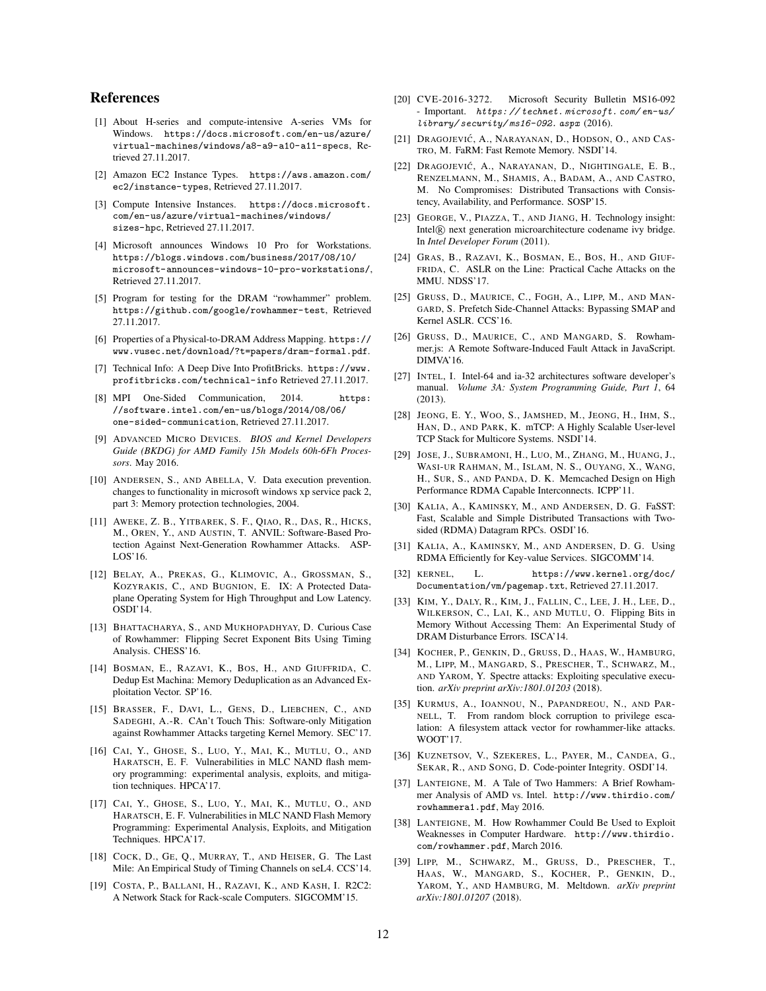# References

- [1] About H-series and compute-intensive A-series VMs for Windows. https://docs.microsoft.com/en-us/azure/ virtual-machines/windows/a8-a9-a10-a11-specs, Retrieved 27.11.2017.
- [2] Amazon EC2 Instance Types. https://aws.amazon.com/ ec2/instance-types, Retrieved 27.11.2017.
- [3] Compute Intensive Instances. https://docs.microsoft. com/en-us/azure/virtual-machines/windows/ sizes-hpc, Retrieved 27.11.2017.
- [4] Microsoft announces Windows 10 Pro for Workstations. https://blogs.windows.com/business/2017/08/10/ microsoft-announces-windows-10-pro-workstations/, Retrieved 27.11.2017.
- [5] Program for testing for the DRAM "rowhammer" problem. https://github.com/google/rowhammer-test, Retrieved 27.11.2017.
- [6] Properties of a Physical-to-DRAM Address Mapping. https:// www.vusec.net/download/?t=papers/dram-formal.pdf.
- [7] Technical Info: A Deep Dive Into ProfitBricks. https://www. profitbricks.com/technical-info Retrieved 27.11.2017.
- [8] MPI One-Sided Communication, 2014. https: //software.intel.com/en-us/blogs/2014/08/06/ one-sided-communication, Retrieved 27.11.2017.
- [9] ADVANCED MICRO DEVICES. *BIOS and Kernel Developers Guide (BKDG) for AMD Family 15h Models 60h-6Fh Processors*. May 2016.
- [10] ANDERSEN, S., AND ABELLA, V. Data execution prevention. changes to functionality in microsoft windows xp service pack 2, part 3: Memory protection technologies, 2004.
- [11] AWEKE, Z. B., YITBAREK, S. F., QIAO, R., DAS, R., HICKS, M., OREN, Y., AND AUSTIN, T. ANVIL: Software-Based Protection Against Next-Generation Rowhammer Attacks. ASP-LOS'16.
- [12] BELAY, A., PREKAS, G., KLIMOVIC, A., GROSSMAN, S., KOZYRAKIS, C., AND BUGNION, E. IX: A Protected Dataplane Operating System for High Throughput and Low Latency. OSDI'14.
- [13] BHATTACHARYA, S., AND MUKHOPADHYAY, D. Curious Case of Rowhammer: Flipping Secret Exponent Bits Using Timing Analysis. CHESS'16.
- [14] BOSMAN, E., RAZAVI, K., BOS, H., AND GIUFFRIDA, C. Dedup Est Machina: Memory Deduplication as an Advanced Exploitation Vector. SP'16.
- [15] BRASSER, F., DAVI, L., GENS, D., LIEBCHEN, C., AND SADEGHI, A.-R. CAn't Touch This: Software-only Mitigation against Rowhammer Attacks targeting Kernel Memory. SEC'17.
- [16] CAI, Y., GHOSE, S., LUO, Y., MAI, K., MUTLU, O., AND HARATSCH, E. F. Vulnerabilities in MLC NAND flash memory programming: experimental analysis, exploits, and mitigation techniques. HPCA'17.
- [17] CAI, Y., GHOSE, S., LUO, Y., MAI, K., MUTLU, O., AND HARATSCH, E. F. Vulnerabilities in MLC NAND Flash Memory Programming: Experimental Analysis, Exploits, and Mitigation Techniques. HPCA'17.
- [18] COCK, D., GE, Q., MURRAY, T., AND HEISER, G. The Last Mile: An Empirical Study of Timing Channels on seL4. CCS'14.
- [19] COSTA, P., BALLANI, H., RAZAVI, K., AND KASH, I. R2C2: A Network Stack for Rack-scale Computers. SIGCOMM'15.
- [20] CVE-2016-3272. Microsoft Security Bulletin MS16-092 - Important. https: // technet. microsoft. com/ en-us/ library/ security/ ms16-092. aspx (2016).
- [21] DRAGOJEVIĆ, A., NARAYANAN, D., HODSON, O., AND CAS-TRO, M. FaRM: Fast Remote Memory. NSDI'14.
- [22] DRAGOJEVIC´, A., NARAYANAN, D., NIGHTINGALE, E. B., RENZELMANN, M., SHAMIS, A., BADAM, A., AND CASTRO, M. No Compromises: Distributed Transactions with Consistency, Availability, and Performance. SOSP'15.
- [23] GEORGE, V., PIAZZA, T., AND JIANG, H. Technology insight: Intel<sup>(R)</sup> next generation microarchitecture codename ivy bridge. In *Intel Developer Forum* (2011).
- [24] GRAS, B., RAZAVI, K., BOSMAN, E., BOS, H., AND GIUF-FRIDA, C. ASLR on the Line: Practical Cache Attacks on the MMU. NDSS'17.
- [25] GRUSS, D., MAURICE, C., FOGH, A., LIPP, M., AND MAN-GARD, S. Prefetch Side-Channel Attacks: Bypassing SMAP and Kernel ASLR. CCS'16.
- [26] GRUSS, D., MAURICE, C., AND MANGARD, S. Rowhammer.js: A Remote Software-Induced Fault Attack in JavaScript. DIMVA'16.
- [27] INTEL, I. Intel-64 and ia-32 architectures software developer's manual. *Volume 3A: System Programming Guide, Part 1*, 64 (2013).
- [28] JEONG, E. Y., WOO, S., JAMSHED, M., JEONG, H., IHM, S., HAN, D., AND PARK, K. mTCP: A Highly Scalable User-level TCP Stack for Multicore Systems. NSDI'14.
- [29] JOSE, J., SUBRAMONI, H., LUO, M., ZHANG, M., HUANG, J., WASI-UR RAHMAN, M., ISLAM, N. S., OUYANG, X., WANG, H., SUR, S., AND PANDA, D. K. Memcached Design on High Performance RDMA Capable Interconnects. ICPP'11.
- [30] KALIA, A., KAMINSKY, M., AND ANDERSEN, D. G. FaSST: Fast, Scalable and Simple Distributed Transactions with Twosided (RDMA) Datagram RPCs. OSDI'16.
- [31] KALIA, A., KAMINSKY, M., AND ANDERSEN, D. G. Using RDMA Efficiently for Key-value Services. SIGCOMM'14.
- [32] KERNEL, L. https://www.kernel.org/doc/ Documentation/vm/pagemap.txt, Retrieved 27.11.2017.
- [33] KIM, Y., DALY, R., KIM, J., FALLIN, C., LEE, J. H., LEE, D., WILKERSON, C., LAI, K., AND MUTLU, O. Flipping Bits in Memory Without Accessing Them: An Experimental Study of DRAM Disturbance Errors. ISCA'14.
- [34] KOCHER, P., GENKIN, D., GRUSS, D., HAAS, W., HAMBURG, M., LIPP, M., MANGARD, S., PRESCHER, T., SCHWARZ, M., AND YAROM, Y. Spectre attacks: Exploiting speculative execution. *arXiv preprint arXiv:1801.01203* (2018).
- [35] KURMUS, A., IOANNOU, N., PAPANDREOU, N., AND PAR-NELL, T. From random block corruption to privilege escalation: A filesystem attack vector for rowhammer-like attacks. WOOT'17.
- [36] KUZNETSOV, V., SZEKERES, L., PAYER, M., CANDEA, G., SEKAR, R., AND SONG, D. Code-pointer Integrity. OSDI'14.
- [37] LANTEIGNE, M. A Tale of Two Hammers: A Brief Rowhammer Analysis of AMD vs. Intel. http://www.thirdio.com/ rowhammera1.pdf, May 2016.
- [38] LANTEIGNE, M. How Rowhammer Could Be Used to Exploit Weaknesses in Computer Hardware. http://www.thirdio. com/rowhammer.pdf, March 2016.
- [39] LIPP, M., SCHWARZ, M., GRUSS, D., PRESCHER, T., HAAS, W., MANGARD, S., KOCHER, P., GENKIN, D., YAROM, Y., AND HAMBURG, M. Meltdown. *arXiv preprint arXiv:1801.01207* (2018).